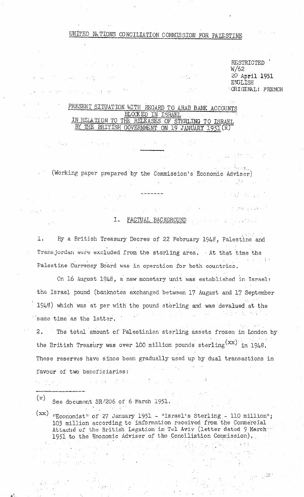# UNITED NATIONS CONCILIATION COMMISSION FOR PALESTINE

RESTRICTED  $W/62$ 20 April 1951 ENGLISH ORIGINAL! FRENCH

 $\label{eq:2.1} \mathcal{L}(\mathcal{A}_1,\mathcal{A}_2) = \mathcal{L}(\mathcal{A}_1,\mathcal{A}_2) = \mathcal{L}(\mathcal{A}_1)$ 

The 1900 is a game.

 $\mathbb{R}^{n}$  and  $\mathbb{R}^{n}$ 

 $\label{eq:1} \mathcal{F}(\mathcal{F}) = \mathcal{F}(\mathcal{F}(\mathcal{F})) = \mathcal{F}(\mathcal{F}(\mathcal{F})) = \mathcal{F}(\mathcal{F}(\mathcal{F})) = \mathcal{F}(\mathcal{F})$ 

## PRESENT SITUATION WITH REGARD TO ARAB BANK ACCOUNTS BLOCKED IN ISRAEL IN REIATION TO THE RELEASES OF STERLING TO ISRAEL BY THE BRITISH GOVERNMENT ON 19 JANUARY 1951 (x)

**Contractor** 

Reported (Working paper prepared by the Commission's Economic Adviser)

#### Ι. FACTUAL BACKGROUND

l. By a British Treasury Decree of 22 February 1948, Palestine and Transjordan were excluded from the sterling area. At that time the Palestine Currency Board was in operation for both countries.

On 16 August 1948, a new monetary unit was established in Israel: the Israel pound (banknotes exchanged between 17 August and 17 September 1948) which was at par with the pound sterling and was devalued at the  $\label{eq:2.1} \mathcal{L}(\mathcal{L}^{\mathcal{L}}_{\mathcal{L}}(\mathcal{L}^{\mathcal{L}}_{\mathcal{L}}(\mathcal{L}^{\mathcal{L}}_{\mathcal{L}}(\mathcal{L}^{\mathcal{L}}_{\mathcal{L}}(\mathcal{L}^{\mathcal{L}}_{\mathcal{L}}(\mathcal{L}^{\mathcal{L}}_{\mathcal{L}}(\mathcal{L}^{\mathcal{L}}_{\mathcal{L}}(\mathcal{L}^{\mathcal{L}}_{\mathcal{L}}(\mathcal{L}^{\mathcal{L}}_{\mathcal{L}}(\mathcal{L}^{\mathcal{L}}_{\mathcal{L}}(\mathcal{L$ same time as the latter.

The total amount of Palestinian sterling assets frozen in London by  $\mathbf{2}$ . the British Treasury was over 100 million pounds sterling  $(xx)$  in 1948. These reserves have since been gradually used up by dual transactions in favour of two beneficiaries:

 $\mathcal{L} = \{ \mathcal{L}_1, \mathcal{L}_2, \ldots, \mathcal{L}_n \}$ 

 $(x)$ See document SR/206 of 6 March 1951.

 $\label{eq:2.1} \mathcal{L}_{\mathcal{A}}(\mathbf{y}) = \mathcal{L}_{\mathcal{A}}(\mathbf{y}) \mathcal{L}_{\mathcal{A}}(\mathbf{y})$ 

 $(xx)$  "Economist" of 27 January 1951 - "Israel's Sterling. 110 million"; 103 million according to information received from the Commercial Attache of the British Legation in Tel Aviv (letter dated 9 March 1951 to the Economic Adviser of the Conciliation Commission).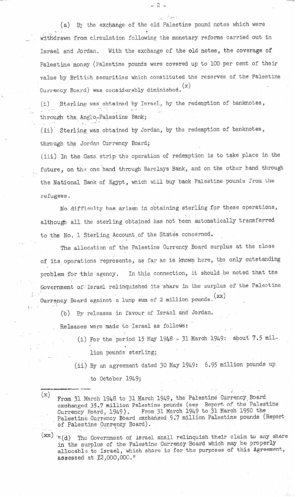(a) By the exchange of the old Palestine pound notes which were  $\mathbf{u} = \mathbf{u} \times \mathbf{u}$  . The set of  $\mathbf{u} = \mathbf{u} \times \mathbf{u}$  $\hspace{0.1cm}$  withdrawn from circulation following the monetary reforms carried out in Israel and Jordan. With the exchange of the old notes, the coverage of Palestine money (Palestine pounds were covered up to 100 per cent of their value by British securities which constituted the reserves of the Palestine Currency Board) was considerably diminished.  $(x)$ 

-2-

(i) Sterling was obtaine , أحد المسلم through the Anglo-Palestine ; 0. by Israel,, by the redemption of banknotes, , " Bank; " ...

 $(i$ i) Sterling was obtained by Jordan, by the redemption of banknotes through the Jordan Currency Board;

(iii) In the Gaza strip the operation of redemption is to take place in the future, on the one hand through Barclays Bank, and on the other hand through the National Bank of Egypt, which will buy back Palestine pounds from the refugees.

I No difficulty has arisen in obtaining sterling for these operation ~ although all the sterling obtained has not been automatically transferred to the No. 1 Sterling Account of the States concerned.

The allocation of the Palestine Currency Board surplus at the close .' of its operations represents, as far as iS known here, the only outstanding problem for this agency. In this connection, it should be noted that the Government of Israel relinquished its share in the surplus of the Palestine Currency Board against a lump sum of 2 million pounds.  $(xx)$ 

(b) Ey releases in favour of Israal and Jordan,

Releases were made to Israel as follows:

.I

! अ<sup>.</sup> : '

.

- (i) For the period 15 May 1948 31 March 1949: about  $7.5$  mil-\* lion pounds sterling;
- (ii) By an agreement dated 30 May 1949: 6.35 million pounds up
	- to October 1949;

---t-e. ..--1. ('

 $(x)$  From 31 March 1948 to 31 March 1949, the Palestine Currency Board exchanged 35.7 million Palestine pounds (see Report of the Palestin Currency Board, 1949). From 31 March 1949 to 31 March 1950 the Palestine Currency Board exchanged 9:7 million Palestine pounds (Report  $\hat{P}$  , , , of Palestine Currency Board).

(=) ..' " '11 (d) The Government of Israel shall relinquish their claim to any share in the surplus of the Palestine Currency Board which may be properly allocable to Israel, which share is for the purposes of this Agreement, assessed at  $12,000,000$ ."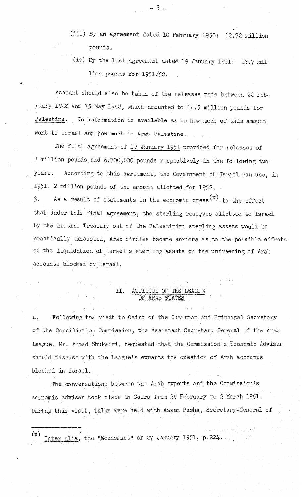- (iii) By an agreement dated 10 February 1950: 12.72 million pounds.
- (iv) By the last agreement dated 19 January 1951: 13.7 million pounds for 1951/52.

Account should also be taken of the releases made between 22 February 1948 and 15 May 1948, which amounted to 14.5 million pounds for Palestine. No information is available as to how much of this amount went to Israel and how much to Arab Palestine.

The final agreement of 19 January 1951 provided for releases of 7 million pounds and 6,700,000 pounds respectively in the following two years. According to this agreement, the Government of Israel can use, in 1951, 2 million pounds of the amount allotted for 1952.

As a result of statements in the economic press  $(x)$  to the effect 3. that under this final agreement, the sterling reserves allotted to Israel by the British Treasury out of the Palestinian sterling assets would be practically exhausted, Arab circles became anxious as to the possible effects of the liquidation of Israel's sterling assets on the unfreezing of Arab accounts blocked by Israel.

### II. ATTITUDE OF THE LEAGUE OF ARAB STATE

Following the visit to Cairo of the Chairman and Principal Secretary 4. of the Conciliation Commission, the Assistant Secretary-General of the Arab League, Mr. Ahmad Shukairi, requested that the Commission's Economic Adviser should discuss with the League's experts the question of Arab accounts blocked in Israel.

The conversations between the Arab experts and the Commission's economic adviser took place in Cairo from 26 February to 2 March 1951. During this visit, talks were held with Azzam Pasha, Secretary-General of

 $(x)$ Inter alia, the "Economist" of 27 January 1951, p.224.

 $\frac{1}{2}$   $\frac{1}{2}$   $\frac{1}{2}$   $\frac{1}{2}$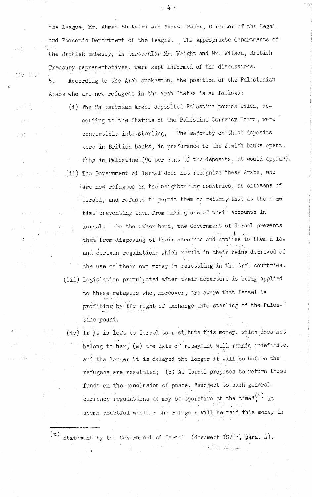the League, Hr. Ahmad Shukairi and Nemazi Pasha, Director of the Legal .and Economic Department of the League. The appropriate departments of " the British Embassy, in particular Mr. Waight and Mr. Wilson, British Treasury reprasentatives, were kept informed of the discussion . .' 5. According to the Arab spokesmen, the position of the Palestinian Arabs who are now refugees in the Arab States is as follows:

(i) The Palestinian Arabs deposited Palestine pounds which, according to the Statute of the Palestine Currency Board, were convertible into sterling. The majority of these deposits were in British banks, in preference to the Jewish banks operating in Palestine (90 per cent of the deposits, it would appear). (ii) The Government of Israel does not recognize these Arabs, who are now refugees in the neighbouring countries, as citizens of Israel, and refuses to permit them to return, thus at the same time preventing them from making use of their accounts in Israel. On the other hand, the Government of Israel prevents thorn: from disposing of the disposing of the material accounts and applies to the material accounts and appli<br>In the material accounts and applies to the material accounts and applies to the material accounts and applies .ies t and certain regulations which result in their being deprived of the use of their own money in resettling in the Arab countries. (iii) Legislation promulgated after their departure is being applied to these refugees who, moreover, are aware that Israel is

'pro'fi.ting'by~tkti right of exchange into sterling of the Pales- ,.., ).. . . . tine pound.<br>Time pour le pour le pour le pour le pour le pour le pour le pour le pour le pour le pour le pour le pour le<br>Je pour le pour le pour le pour le pour le pour le pour le pour le pour le pour le pour le pour le po

(iv) If it is left to Israel to restitute this money, which does not belong to her, (a) the date of repayment will remain indefinite, and the longer it is defined the longer it is defined the longer it will be before the longer it will be before and the longer it is delayed the longer it will be before the refuge33 are refugee33 are refugee 33 are refugee 33 are refugee 33 are refugee 33 are refugee 33 are refugee<br>The contract of the second theory in the contract of the contract of the contract of the contract of the contrac refugees are resettled; (b) As Israel proposes to return these funds on the conclusion of place, less to such general  $\mathcal{L}_\mathcal{D}$  , less to such general later  $\mathcal{L}_\mathcal{D}$ funds on the conclusion of peace, "subject to such general  $, +$   $, +$ seems doubtful whether the refugees will be paid this money in seems doubtful whether the refugees will be paid this money in

Statement by the Government of Israel (document  $IS/13$ , para.  $4$ ).

(4 -- Statement by the Govtirnment of Israel (docur~entIS/l3'; 'para. 4)e

-4-

.\*

en E

ng<br>Manazarta

 $\sim 250$ 

 $\mathbb{C}^{n+1}$ 

and<br>S

in Alban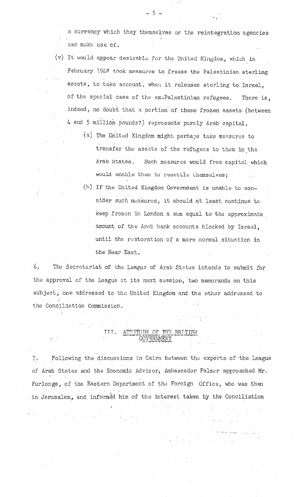a currency which they themselves or the reintegration agencies can make use of.

- (v) It would appear desirable for the United Kingdom, which in February 1948 took measures to freeze the Palestinian sterling assets, to take account, when it releases sterling to Israel, of the special case of the ex-Palestinian refugees. There is, indeed, no doubt that a portion of these frozen assets (between 4 and 5 million pounds?) represents purely Arab capital.
	- (a) The United Kingdom might perhaps take measures to transfer the assets of the refugees to them in the Arab States. Such measures would free capital which would enable them to resettle themselves;
	- (b) If the United Kingdom Government is unable to consider such measures, it should at least continue to keep frozen in London a sum equal to the approximate amount of the Arab bank accounts blocked by Israel, until the restoration of a more normal situation in the Near East.

6. The Secretariat of the League of Arab States intends to submit for the approval of the League at its next session, two memoranda on this subject, one addressed to the United Kingdom and the other addressed to the Conciliation Commission.

### III. ATTITUDE OF THE BRITISH **GOVERNMENT**

Following the discussions in Cairo between the experts of the League  $7.$ of Arab States and the Economic Adviser, Ambassador Palmer approached Mr. Furlonge, of the Eastern Department of the Foreign Office, who was then in Jerusalem, and informed him of the interest taken by the Conciliation

 $-5 -$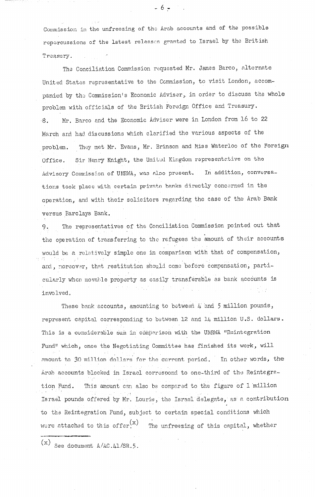Commission in the unfreezing of the Arab accounts and of the possible repercussions of the latest releases granted to Israel by the British Treasury.

.

The Conciliation Commission requested Mr. James Barco, alternate United States representative to the Commission, to visit London, accompanied by the Commission's Economic Adviser, in order to discuss the whole problem with officials of the British Foreign Office and Treasury. 8. Mr. Barco and the Economic Adviser were in London from 16 to 22 March and had discussions which clarified the various aspects of the problem. They met Mr. Evans, Mr. Brinson and Miss Waterloo of the Foreign Office. Sir Henry Knight, the United Kingdom representative on the Advisory Commission of UNRWA, was also present. In addition, conversations took place with certain private banks directly concerned in the operation, and with their solicitors regarding the case of the Arab Bank versus Barclays Rank.

9. The representatives of the Conciliation Commission pointed out that the operation of transferring to the refugees the amount of their accounts would be a relatively simple one in comparison with that of compensation and, moreover, that restitution should come before compensation, particularly when movable property as easily transferable as bank accounts is involved,

These bank accounts, amounting to between  $\mu$  and 5 million pounds, represent capital corresponding to between 12 and  $14$  million U.S. dollars. This is a considerable sum in comparison with the UNRWA "Reintegration Fund" which, once the Negotiating Committee has finished its work, will amount to 30 million dollars' for the current period. In other words, the Arab accounts blocked in Israel correspond to one-third of the Reintegra-This amount can also be compared to the figure of 1 million tion Fund. Israel pounds offered by Mr. Lourie, the Israel delegate, as a contribut e to the Reintegration Fund, subject to certain special conditions which were attached to this offer. $(x)$  The unfreezing of this capital, whether

 $(x)$  See document A/AC.41/SR.5.

. ..--c\_

 $-6 -$ 

-.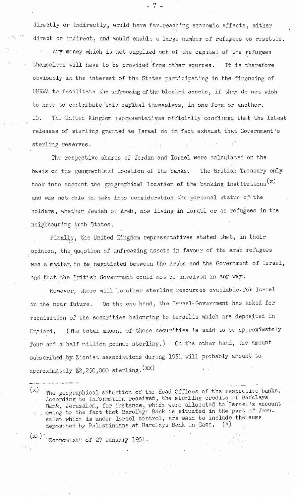directly or indirectly, would have far-reaching economic effects, either direct or indirect, and would enable a large number of refugees to resettle. Any money which is not supplied out of the capital of the refugees themselves will have to be provided from other sources. It is therefore obviously in the interest of the States participating in the financing of UNRWA to facilitate the unfreezing of the blocked assets, if they do not wish to have to contribute this capital themselves, in one form or another. 10. The United Kingdom representatives officially confirmed that the latest releases of sterling, granted to Israel do in fact exhaust that Government's sterling reserves.

-7-

The respective shares of Jordan and Israel were calculated on the basis of the geographical location of the banks. The British Treasury only took into account the geographical location of the banking institutions  $(x)$ and was not able to take into consideration the personal status of the holders, whether Jewish or Arab, now living in Israel or as refugees in the neighbouring Arab States.

Finally, the United Kingdom representatives stated that, in thei opinion, the question of unfreezing assets in favour of the Arab refugees was a matter, to be negotiated between the Arabs and the Government of Israel, and that the British Government could not be involved in any way.

However, there will be other sterling resources available for Israel in the near future. On the one hand, the Israel Government has asked for requisition of the securities belonging to Israelis which are deposited in England. (The total amount of these securities is said to be approximately four and a half million pounds sterling.) On the other hand, the amount subscribed by Zionist associations during 1951 will probably amount to approximately  $\mathbb{Z}$ ,250,000 sterling.  $(\mathbf{xx})$ 

 $(x)$ The geographical situation of the Head Offices of the respective banks. According to information received, the sterling credits of Barclays Bank, Jerusalem, for instance, which were allocated to Israel's account being, befusarism, for instance, which were simpled in the part of Jerusalem which is under Israel control, are said to include the sums deposited by Palestinians at Barclays Bank in Gaza.  $(2)$ 

,, \_ .,.\*. .-

 $(x)$   $_{\text{WRconomist}}$  of 27 January 1951.  $\Gamma$ . The condition of  $\epsilon$ , better  $\mathbf{y} = \mathbf{y}$ .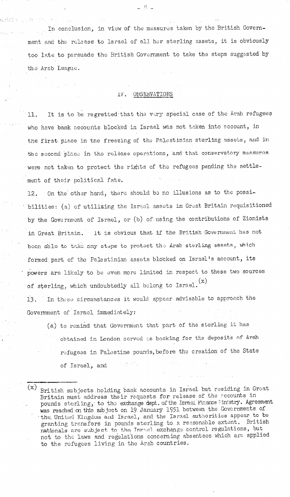In conclusion, in view of the measures taken by the British Government and the release to Israel of all her sterling assets, it is obviously too late to persuade the British Government to take the steps suggested by the Arab League.

#### OBSERVATIONS IV.

It is to be regretted that the very special case of the Arab refugees 11. who have bank accounts blocked in Israel was not taken into account, in the first place in the freezing of the Palestinian sterling assets, and in the second place in the release operations, and that conservatory measures were not taken to protect the rights of the refugees pending the settlement of their political fate.

12. On the other hand, there should be no illusions as to the possibilities: (a) of utilizing the Israel assets in Great Britain requisitioned by the Government of Israel, or (b) of using the contributions of Zionists It is obvious that if the British Government has not in Great Britain. been able to take any steps to protect the Arab sterling assets, which formed part of the Palestinian assets blocked on Israel's account, its powers are likely to be even more limited in respect to these two sources of sterling, which undoubtedly all belong to Israel.  $(x)$ 

In these circumstances it would appear advisable to approach the 13. Government of Israel immediately:

- (a) to remind that Government that part of the sterling it has obtained in London served as backing for the deposits of Arab refugees in Palestine pounds, before the creation of the State of Israel, and
- $(\mathrm{x})$ British subjects holding bank accounts in Israel but residing in Great Britain must address their requests for release of the accounts in pounds sterling, to the exchange dept. of the Israel Finance inistry. Agreement was reached on this subject on 19 January 1951 between the Governments of the United Kingdom and Israel, and the Israel authorities appear to be granting transfers in pounds sterling to a reasonable extent. British nationals are subject to the Israel exchange control regulations, but not to the laws and regulations concerning absentees which are applied to the refugees living in the Arab countries.

\_ S \_